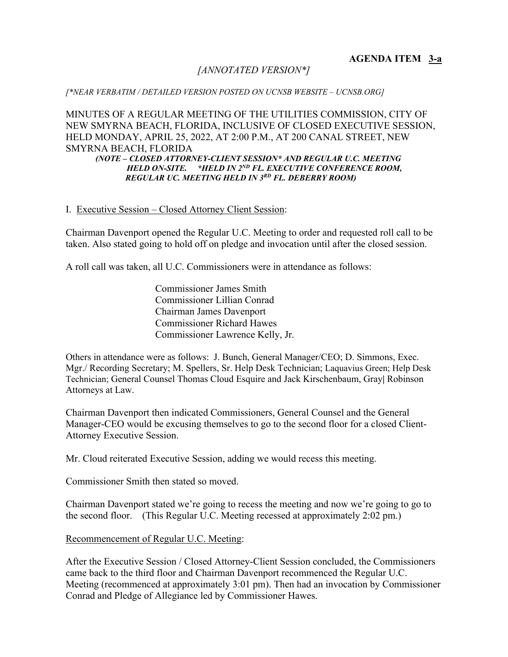# *[ANNOTATED VERSION\*]*

### *[\*NEAR VERBATIM / DETAILED VERSION POSTED ON UCNSB WEBSITE – UCNSB.ORG]*

MINUTES OF A REGULAR MEETING OF THE UTILITIES COMMISSION, CITY OF NEW SMYRNA BEACH, FLORIDA, INCLUSIVE OF CLOSED EXECUTIVE SESSION, HELD MONDAY, APRIL 25, 2022, AT 2:00 P.M., AT 200 CANAL STREET, NEW SMYRNA BEACH, FLORIDA

*(NOTE – CLOSED ATTORNEY-CLIENT SESSION\* AND REGULAR U.C. MEETING HELD ON-SITE. \*HELD IN 2ND FL. EXECUTIVE CONFERENCE ROOM, REGULAR UC. MEETING HELD IN 3RD FL. DEBERRY ROOM)*

### I. Executive Session – Closed Attorney Client Session:

Chairman Davenport opened the Regular U.C. Meeting to order and requested roll call to be taken. Also stated going to hold off on pledge and invocation until after the closed session.

A roll call was taken, all U.C. Commissioners were in attendance as follows:

Commissioner James Smith Commissioner Lillian Conrad Chairman James Davenport Commissioner Richard Hawes Commissioner Lawrence Kelly, Jr.

Others in attendance were as follows: J. Bunch, General Manager/CEO; D. Simmons, Exec. Mgr./ Recording Secretary; M. Spellers, Sr. Help Desk Technician; Laquavius Green; Help Desk Technician; General Counsel Thomas Cloud Esquire and Jack Kirschenbaum, Gray**|** Robinson Attorneys at Law.

Chairman Davenport then indicated Commissioners, General Counsel and the General Manager-CEO would be excusing themselves to go to the second floor for a closed Client-Attorney Executive Session.

Mr. Cloud reiterated Executive Session, adding we would recess this meeting.

Commissioner Smith then stated so moved.

Chairman Davenport stated we're going to recess the meeting and now we're going to go to the second floor. (This Regular U.C. Meeting recessed at approximately 2:02 pm.)

Recommencement of Regular U.C. Meeting:

After the Executive Session / Closed Attorney-Client Session concluded, the Commissioners came back to the third floor and Chairman Davenport recommenced the Regular U.C. Meeting (recommenced at approximately 3:01 pm). Then had an invocation by Commissioner Conrad and Pledge of Allegiance led by Commissioner Hawes.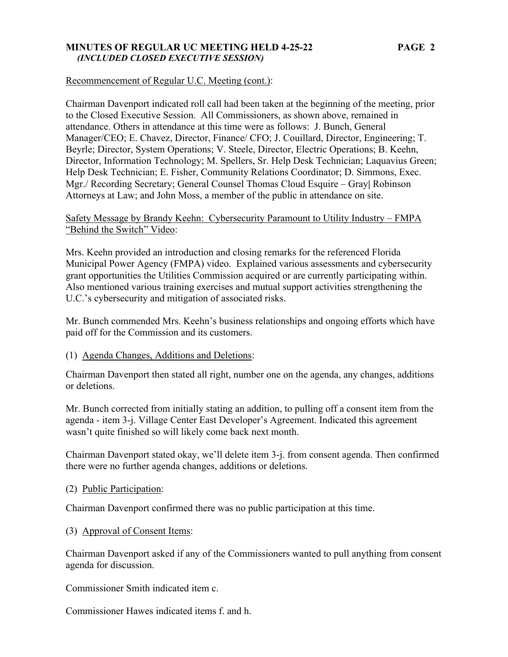### **MINUTES OF REGULAR UC MEETING HELD 4-25-22 PAGE 2**   *(INCLUDED CLOSED EXECUTIVE SESSION)*

## Recommencement of Regular U.C. Meeting (cont.):

Chairman Davenport indicated roll call had been taken at the beginning of the meeting, prior to the Closed Executive Session. All Commissioners, as shown above, remained in attendance. Others in attendance at this time were as follows: J. Bunch, General Manager/CEO; E. Chavez, Director, Finance/ CFO; J. Couillard, Director, Engineering; T. Beyrle; Director, System Operations; V. Steele, Director, Electric Operations; B. Keehn, Director, Information Technology; M. Spellers, Sr. Help Desk Technician; Laquavius Green; Help Desk Technician; E. Fisher, Community Relations Coordinator; D. Simmons, Exec. Mgr./ Recording Secretary; General Counsel Thomas Cloud Esquire – Gray**|** Robinson Attorneys at Law; and John Moss, a member of the public in attendance on site.

# Safety Message by Brandy Keehn: Cybersecurity Paramount to Utility Industry – FMPA "Behind the Switch" Video:

Mrs. Keehn provided an introduction and closing remarks for the referenced Florida Municipal Power Agency (FMPA) video. Explained various assessments and cybersecurity grant opportunities the Utilities Commission acquired or are currently participating within. Also mentioned various training exercises and mutual support activities strengthening the U.C.'s cybersecurity and mitigation of associated risks.

Mr. Bunch commended Mrs. Keehn's business relationships and ongoing efforts which have paid off for the Commission and its customers.

# (1) Agenda Changes, Additions and Deletions:

Chairman Davenport then stated all right, number one on the agenda, any changes, additions or deletions.

Mr. Bunch corrected from initially stating an addition, to pulling off a consent item from the agenda - item 3-j. Village Center East Developer's Agreement. Indicated this agreement wasn't quite finished so will likely come back next month.

Chairman Davenport stated okay, we'll delete item 3-j. from consent agenda. Then confirmed there were no further agenda changes, additions or deletions.

# (2) Public Participation:

Chairman Davenport confirmed there was no public participation at this time.

### (3) Approval of Consent Items:

Chairman Davenport asked if any of the Commissioners wanted to pull anything from consent agenda for discussion.

Commissioner Smith indicated item c.

Commissioner Hawes indicated items f. and h.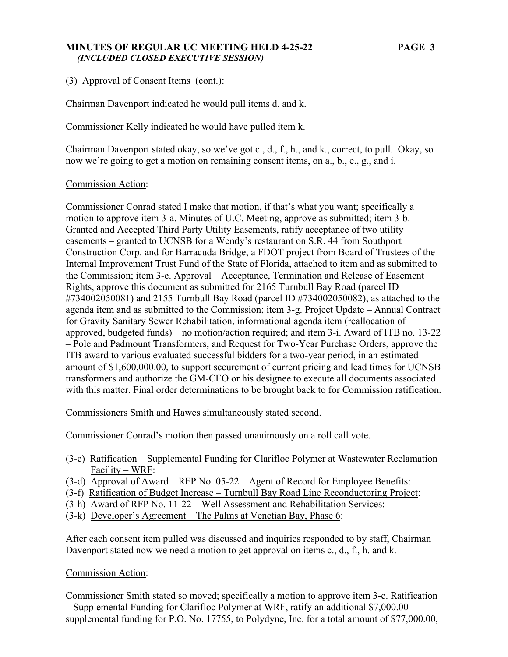## **MINUTES OF REGULAR UC MEETING HELD 4-25-22 PAGE 3**   *(INCLUDED CLOSED EXECUTIVE SESSION)*

# (3) Approval of Consent Items (cont.):

Chairman Davenport indicated he would pull items d. and k.

Commissioner Kelly indicated he would have pulled item k.

Chairman Davenport stated okay, so we've got c., d., f., h., and k., correct, to pull. Okay, so now we're going to get a motion on remaining consent items, on a., b., e., g., and i.

### Commission Action:

Commissioner Conrad stated I make that motion, if that's what you want; specifically a motion to approve item 3-a. Minutes of U.C. Meeting, approve as submitted; item 3-b. Granted and Accepted Third Party Utility Easements, ratify acceptance of two utility easements – granted to UCNSB for a Wendy's restaurant on S.R. 44 from Southport Construction Corp. and for Barracuda Bridge, a FDOT project from Board of Trustees of the Internal Improvement Trust Fund of the State of Florida, attached to item and as submitted to the Commission; item 3-e. Approval – Acceptance, Termination and Release of Easement Rights, approve this document as submitted for 2165 Turnbull Bay Road (parcel ID #734002050081) and 2155 Turnbull Bay Road (parcel ID #734002050082), as attached to the agenda item and as submitted to the Commission; item 3-g. Project Update – Annual Contract for Gravity Sanitary Sewer Rehabilitation, informational agenda item (reallocation of approved, budgeted funds) – no motion/action required; and item 3-i. Award of ITB no. 13-22 – Pole and Padmount Transformers, and Request for Two-Year Purchase Orders, approve the ITB award to various evaluated successful bidders for a two-year period, in an estimated amount of \$1,600,000.00, to support securement of current pricing and lead times for UCNSB transformers and authorize the GM-CEO or his designee to execute all documents associated with this matter. Final order determinations to be brought back to for Commission ratification.

Commissioners Smith and Hawes simultaneously stated second.

Commissioner Conrad's motion then passed unanimously on a roll call vote.

- (3-c) Ratification Supplemental Funding for Clarifloc Polymer at Wastewater Reclamation Facility – WRF:
- (3-d) Approval of Award RFP No. 05-22 Agent of Record for Employee Benefits:
- (3-f) Ratification of Budget Increase Turnbull Bay Road Line Reconductoring Project:
- (3-h) Award of RFP No. 11-22 Well Assessment and Rehabilitation Services:
- (3-k) Developer's Agreement The Palms at Venetian Bay, Phase 6:

After each consent item pulled was discussed and inquiries responded to by staff, Chairman Davenport stated now we need a motion to get approval on items c., d., f., h. and k.

### Commission Action:

Commissioner Smith stated so moved; specifically a motion to approve item 3-c. Ratification – Supplemental Funding for Clarifloc Polymer at WRF, ratify an additional \$7,000.00 supplemental funding for P.O. No. 17755, to Polydyne, Inc. for a total amount of \$77,000.00,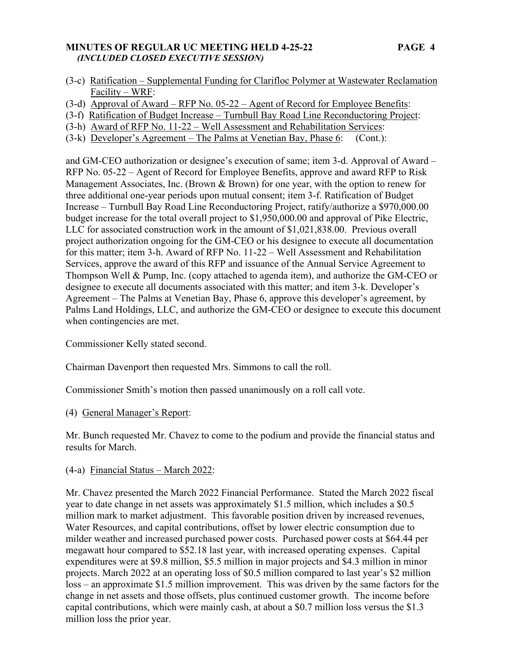## **MINUTES OF REGULAR UC MEETING HELD 4-25-22 PAGE 4**   *(INCLUDED CLOSED EXECUTIVE SESSION)*

- (3-c) Ratification Supplemental Funding for Clarifloc Polymer at Wastewater Reclamation Facility – WRF:
- (3-d) Approval of Award RFP No. 05-22 Agent of Record for Employee Benefits:
- (3-f) Ratification of Budget Increase Turnbull Bay Road Line Reconductoring Project:
- (3-h) Award of RFP No. 11-22 Well Assessment and Rehabilitation Services:
- (3-k) Developer's Agreement The Palms at Venetian Bay, Phase 6: (Cont.):

and GM-CEO authorization or designee's execution of same; item 3-d. Approval of Award – RFP No. 05-22 – Agent of Record for Employee Benefits, approve and award RFP to Risk Management Associates, Inc. (Brown & Brown) for one year, with the option to renew for three additional one-year periods upon mutual consent; item 3-f. Ratification of Budget Increase – Turnbull Bay Road Line Reconductoring Project, ratify/authorize a \$970,000.00 budget increase for the total overall project to \$1,950,000.00 and approval of Pike Electric, LLC for associated construction work in the amount of \$1,021,838.00. Previous overall project authorization ongoing for the GM-CEO or his designee to execute all documentation for this matter; item 3-h. Award of RFP No. 11-22 – Well Assessment and Rehabilitation Services, approve the award of this RFP and issuance of the Annual Service Agreement to Thompson Well & Pump, Inc. (copy attached to agenda item), and authorize the GM-CEO or designee to execute all documents associated with this matter; and item 3-k. Developer's Agreement – The Palms at Venetian Bay, Phase 6, approve this developer's agreement, by Palms Land Holdings, LLC, and authorize the GM-CEO or designee to execute this document when contingencies are met.

Commissioner Kelly stated second.

Chairman Davenport then requested Mrs. Simmons to call the roll.

Commissioner Smith's motion then passed unanimously on a roll call vote.

# (4) General Manager's Report:

Mr. Bunch requested Mr. Chavez to come to the podium and provide the financial status and results for March.

# (4-a) Financial Status – March 2022:

Mr. Chavez presented the March 2022 Financial Performance. Stated the March 2022 fiscal year to date change in net assets was approximately \$1.5 million, which includes a \$0.5 million mark to market adjustment. This favorable position driven by increased revenues, Water Resources, and capital contributions, offset by lower electric consumption due to milder weather and increased purchased power costs. Purchased power costs at \$64.44 per megawatt hour compared to \$52.18 last year, with increased operating expenses. Capital expenditures were at \$9.8 million, \$5.5 million in major projects and \$4.3 million in minor projects. March 2022 at an operating loss of \$0.5 million compared to last year's \$2 million loss – an approximate \$1.5 million improvement. This was driven by the same factors for the change in net assets and those offsets, plus continued customer growth. The income before capital contributions, which were mainly cash, at about a \$0.7 million loss versus the \$1.3 million loss the prior year.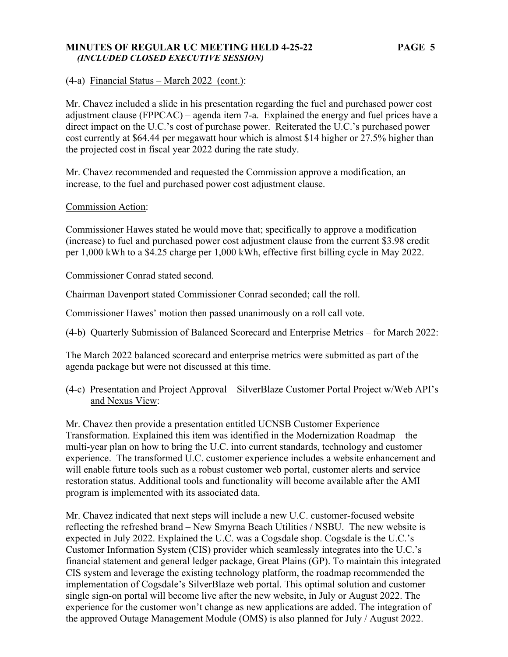### **MINUTES OF REGULAR UC MEETING HELD 4-25-22 PAGE 5**   *(INCLUDED CLOSED EXECUTIVE SESSION)*

(4-a) Financial Status – March 2022 (cont.):

Mr. Chavez included a slide in his presentation regarding the fuel and purchased power cost adjustment clause (FPPCAC) – agenda item 7-a. Explained the energy and fuel prices have a direct impact on the U.C.'s cost of purchase power. Reiterated the U.C.'s purchased power cost currently at \$64.44 per megawatt hour which is almost \$14 higher or 27.5% higher than the projected cost in fiscal year 2022 during the rate study.

Mr. Chavez recommended and requested the Commission approve a modification, an increase, to the fuel and purchased power cost adjustment clause.

### Commission Action:

Commissioner Hawes stated he would move that; specifically to approve a modification (increase) to fuel and purchased power cost adjustment clause from the current \$3.98 credit per 1,000 kWh to a \$4.25 charge per 1,000 kWh, effective first billing cycle in May 2022.

Commissioner Conrad stated second.

Chairman Davenport stated Commissioner Conrad seconded; call the roll.

Commissioner Hawes' motion then passed unanimously on a roll call vote.

(4-b) Quarterly Submission of Balanced Scorecard and Enterprise Metrics – for March 2022:

The March 2022 balanced scorecard and enterprise metrics were submitted as part of the agenda package but were not discussed at this time.

(4-c) Presentation and Project Approval – SilverBlaze Customer Portal Project w/Web API's and Nexus View:

Mr. Chavez then provide a presentation entitled UCNSB Customer Experience Transformation. Explained this item was identified in the Modernization Roadmap – the multi-year plan on how to bring the U.C. into current standards, technology and customer experience. The transformed U.C. customer experience includes a website enhancement and will enable future tools such as a robust customer web portal, customer alerts and service restoration status. Additional tools and functionality will become available after the AMI program is implemented with its associated data.

Mr. Chavez indicated that next steps will include a new U.C. customer-focused website reflecting the refreshed brand – New Smyrna Beach Utilities / NSBU. The new website is expected in July 2022. Explained the U.C. was a Cogsdale shop. Cogsdale is the U.C.'s Customer Information System (CIS) provider which seamlessly integrates into the U.C.'s financial statement and general ledger package, Great Plains (GP). To maintain this integrated CIS system and leverage the existing technology platform, the roadmap recommended the implementation of Cogsdale's SilverBlaze web portal. This optimal solution and customer single sign-on portal will become live after the new website, in July or August 2022. The experience for the customer won't change as new applications are added. The integration of the approved Outage Management Module (OMS) is also planned for July / August 2022.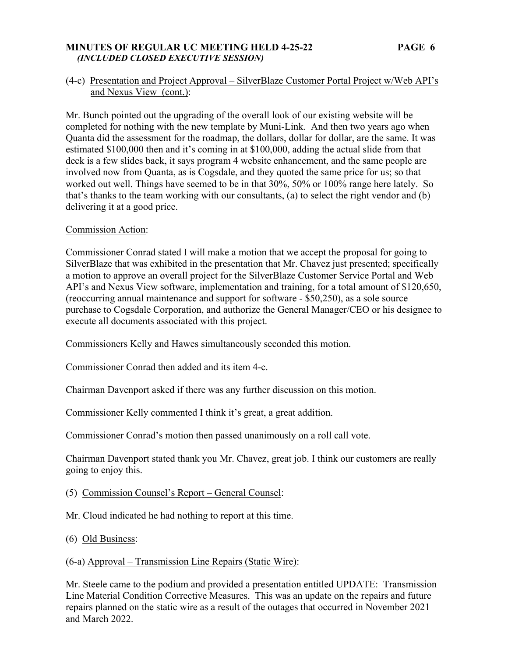### **MINUTES OF REGULAR UC MEETING HELD 4-25-22 PAGE 6**   *(INCLUDED CLOSED EXECUTIVE SESSION)*

# (4-c) Presentation and Project Approval – SilverBlaze Customer Portal Project w/Web API's and Nexus View (cont.):

Mr. Bunch pointed out the upgrading of the overall look of our existing website will be completed for nothing with the new template by Muni-Link. And then two years ago when Quanta did the assessment for the roadmap, the dollars, dollar for dollar, are the same. It was estimated \$100,000 then and it's coming in at \$100,000, adding the actual slide from that deck is a few slides back, it says program 4 website enhancement, and the same people are involved now from Quanta, as is Cogsdale, and they quoted the same price for us; so that worked out well. Things have seemed to be in that 30%, 50% or 100% range here lately. So that's thanks to the team working with our consultants, (a) to select the right vendor and (b) delivering it at a good price.

### Commission Action:

Commissioner Conrad stated I will make a motion that we accept the proposal for going to SilverBlaze that was exhibited in the presentation that Mr. Chavez just presented; specifically a motion to approve an overall project for the SilverBlaze Customer Service Portal and Web API's and Nexus View software, implementation and training, for a total amount of \$120,650, (reoccurring annual maintenance and support for software - \$50,250), as a sole source purchase to Cogsdale Corporation, and authorize the General Manager/CEO or his designee to execute all documents associated with this project.

Commissioners Kelly and Hawes simultaneously seconded this motion.

Commissioner Conrad then added and its item 4-c.

Chairman Davenport asked if there was any further discussion on this motion.

Commissioner Kelly commented I think it's great, a great addition.

Commissioner Conrad's motion then passed unanimously on a roll call vote.

Chairman Davenport stated thank you Mr. Chavez, great job. I think our customers are really going to enjoy this.

- (5) Commission Counsel's Report General Counsel:
- Mr. Cloud indicated he had nothing to report at this time.
- (6) Old Business:

# (6-a) Approval – Transmission Line Repairs (Static Wire):

Mr. Steele came to the podium and provided a presentation entitled UPDATE: Transmission Line Material Condition Corrective Measures. This was an update on the repairs and future repairs planned on the static wire as a result of the outages that occurred in November 2021 and March 2022.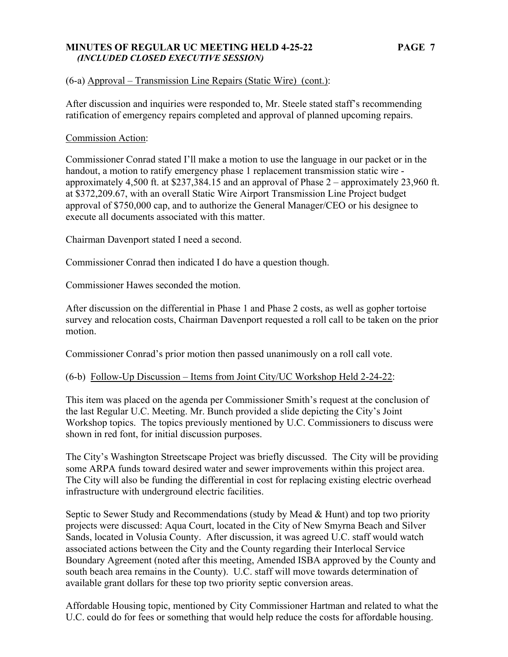### **MINUTES OF REGULAR UC MEETING HELD 4-25-22 PAGE 7**   *(INCLUDED CLOSED EXECUTIVE SESSION)*

# (6-a) Approval – Transmission Line Repairs (Static Wire) (cont.):

After discussion and inquiries were responded to, Mr. Steele stated staff's recommending ratification of emergency repairs completed and approval of planned upcoming repairs.

# Commission Action:

Commissioner Conrad stated I'll make a motion to use the language in our packet or in the handout, a motion to ratify emergency phase 1 replacement transmission static wire approximately 4,500 ft. at \$237,384.15 and an approval of Phase 2 – approximately 23,960 ft. at \$372,209.67, with an overall Static Wire Airport Transmission Line Project budget approval of \$750,000 cap, and to authorize the General Manager/CEO or his designee to execute all documents associated with this matter.

Chairman Davenport stated I need a second.

Commissioner Conrad then indicated I do have a question though.

Commissioner Hawes seconded the motion.

After discussion on the differential in Phase 1 and Phase 2 costs, as well as gopher tortoise survey and relocation costs, Chairman Davenport requested a roll call to be taken on the prior motion.

Commissioner Conrad's prior motion then passed unanimously on a roll call vote.

# (6-b) Follow-Up Discussion – Items from Joint City/UC Workshop Held 2-24-22:

This item was placed on the agenda per Commissioner Smith's request at the conclusion of the last Regular U.C. Meeting. Mr. Bunch provided a slide depicting the City's Joint Workshop topics. The topics previously mentioned by U.C. Commissioners to discuss were shown in red font, for initial discussion purposes.

The City's Washington Streetscape Project was briefly discussed. The City will be providing some ARPA funds toward desired water and sewer improvements within this project area. The City will also be funding the differential in cost for replacing existing electric overhead infrastructure with underground electric facilities.

Septic to Sewer Study and Recommendations (study by Mead & Hunt) and top two priority projects were discussed: Aqua Court, located in the City of New Smyrna Beach and Silver Sands, located in Volusia County. After discussion, it was agreed U.C. staff would watch associated actions between the City and the County regarding their Interlocal Service Boundary Agreement (noted after this meeting, Amended ISBA approved by the County and south beach area remains in the County). U.C. staff will move towards determination of available grant dollars for these top two priority septic conversion areas.

Affordable Housing topic, mentioned by City Commissioner Hartman and related to what the U.C. could do for fees or something that would help reduce the costs for affordable housing.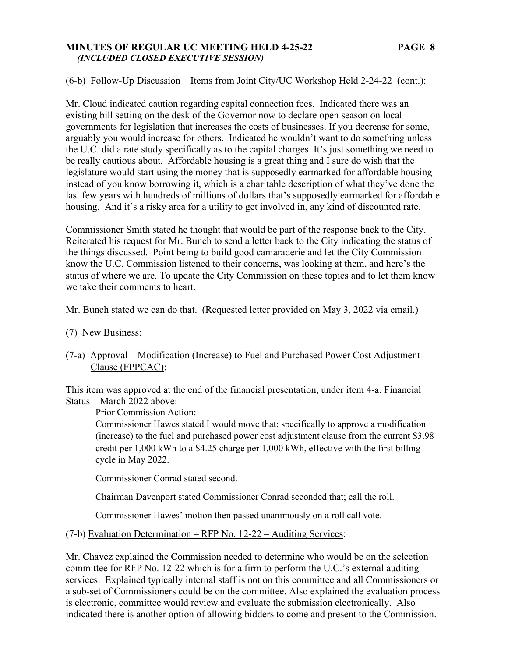### **MINUTES OF REGULAR UC MEETING HELD 4-25-22 PAGE 8**   *(INCLUDED CLOSED EXECUTIVE SESSION)*

## (6-b) Follow-Up Discussion – Items from Joint City/UC Workshop Held 2-24-22 (cont.):

Mr. Cloud indicated caution regarding capital connection fees. Indicated there was an existing bill setting on the desk of the Governor now to declare open season on local governments for legislation that increases the costs of businesses. If you decrease for some, arguably you would increase for others. Indicated he wouldn't want to do something unless the U.C. did a rate study specifically as to the capital charges. It's just something we need to be really cautious about. Affordable housing is a great thing and I sure do wish that the legislature would start using the money that is supposedly earmarked for affordable housing instead of you know borrowing it, which is a charitable description of what they've done the last few years with hundreds of millions of dollars that's supposedly earmarked for affordable housing. And it's a risky area for a utility to get involved in, any kind of discounted rate.

Commissioner Smith stated he thought that would be part of the response back to the City. Reiterated his request for Mr. Bunch to send a letter back to the City indicating the status of the things discussed. Point being to build good camaraderie and let the City Commission know the U.C. Commission listened to their concerns, was looking at them, and here's the status of where we are. To update the City Commission on these topics and to let them know we take their comments to heart.

Mr. Bunch stated we can do that. (Requested letter provided on May 3, 2022 via email.)

(7) New Business:

# (7-a) Approval – Modification (Increase) to Fuel and Purchased Power Cost Adjustment Clause (FPPCAC):

This item was approved at the end of the financial presentation, under item 4-a. Financial Status – March 2022 above:

### Prior Commission Action:

Commissioner Hawes stated I would move that; specifically to approve a modification (increase) to the fuel and purchased power cost adjustment clause from the current \$3.98 credit per 1,000 kWh to a \$4.25 charge per 1,000 kWh, effective with the first billing cycle in May 2022.

Commissioner Conrad stated second.

Chairman Davenport stated Commissioner Conrad seconded that; call the roll.

Commissioner Hawes' motion then passed unanimously on a roll call vote.

### (7-b) Evaluation Determination – RFP No. 12-22 – Auditing Services:

Mr. Chavez explained the Commission needed to determine who would be on the selection committee for RFP No. 12-22 which is for a firm to perform the U.C.'s external auditing services. Explained typically internal staff is not on this committee and all Commissioners or a sub-set of Commissioners could be on the committee. Also explained the evaluation process is electronic, committee would review and evaluate the submission electronically. Also indicated there is another option of allowing bidders to come and present to the Commission.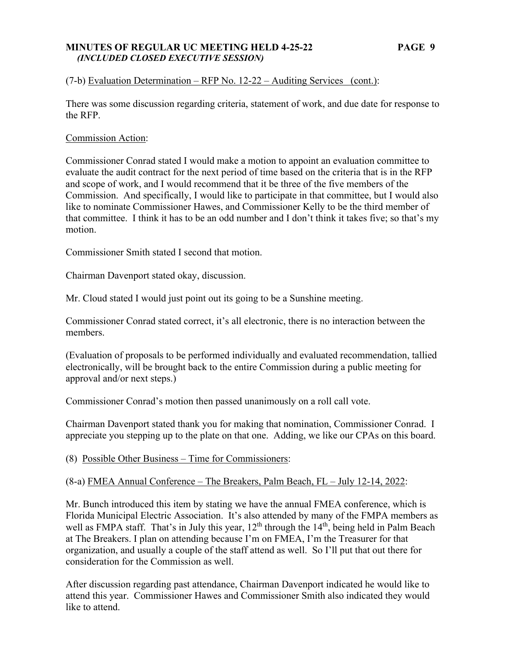### **MINUTES OF REGULAR UC MEETING HELD 4-25-22 PAGE 9**   *(INCLUDED CLOSED EXECUTIVE SESSION)*

# (7-b) Evaluation Determination – RFP No.  $12-22$  – Auditing Services (cont.):

There was some discussion regarding criteria, statement of work, and due date for response to the RFP.

### Commission Action:

Commissioner Conrad stated I would make a motion to appoint an evaluation committee to evaluate the audit contract for the next period of time based on the criteria that is in the RFP and scope of work, and I would recommend that it be three of the five members of the Commission. And specifically, I would like to participate in that committee, but I would also like to nominate Commissioner Hawes, and Commissioner Kelly to be the third member of that committee. I think it has to be an odd number and I don't think it takes five; so that's my motion.

Commissioner Smith stated I second that motion.

Chairman Davenport stated okay, discussion.

Mr. Cloud stated I would just point out its going to be a Sunshine meeting.

Commissioner Conrad stated correct, it's all electronic, there is no interaction between the members.

(Evaluation of proposals to be performed individually and evaluated recommendation, tallied electronically, will be brought back to the entire Commission during a public meeting for approval and/or next steps.)

Commissioner Conrad's motion then passed unanimously on a roll call vote.

Chairman Davenport stated thank you for making that nomination, Commissioner Conrad. I appreciate you stepping up to the plate on that one. Adding, we like our CPAs on this board.

(8) Possible Other Business – Time for Commissioners:

# (8-a) FMEA Annual Conference – The Breakers, Palm Beach, FL – July 12-14, 2022:

Mr. Bunch introduced this item by stating we have the annual FMEA conference, which is Florida Municipal Electric Association. It's also attended by many of the FMPA members as well as FMPA staff. That's in July this year,  $12<sup>th</sup>$  through the  $14<sup>th</sup>$ , being held in Palm Beach at The Breakers. I plan on attending because I'm on FMEA, I'm the Treasurer for that organization, and usually a couple of the staff attend as well. So I'll put that out there for consideration for the Commission as well.

After discussion regarding past attendance, Chairman Davenport indicated he would like to attend this year. Commissioner Hawes and Commissioner Smith also indicated they would like to attend.